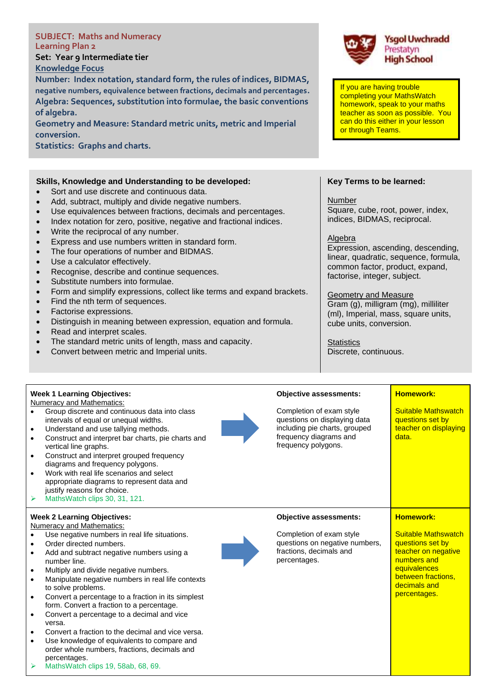| <b>SUBJECT: Maths and Numeracy</b><br><b>Learning Plan 2</b><br>Set: Year 9 Intermediate tier<br><b>Knowledge Focus</b><br>Number: Index notation, standard form, the rules of indices, BIDMAS,<br>negative numbers, equivalence between fractions, decimals and percentages.<br>Algebra: Sequences, substitution into formulae, the basic conventions<br>of algebra.<br>Geometry and Measure: Standard metric units, metric and Imperial<br>conversion.<br><b>Statistics: Graphs and charts.</b>                                                                                                                                                                                                                                                                                                                                                                                                                                                                                                                                                                                           |                                                                                                            | If you are having trouble<br>completing your MathsWatch<br>or through Teams.                                                                                                                                                                                                                                                                                                 | <b>Ysgol Uwchradd</b><br>Prestatyn<br><b>High School</b><br>homework, speak to your maths<br>teacher as soon as possible. You<br>can do this either in your lesson             |
|---------------------------------------------------------------------------------------------------------------------------------------------------------------------------------------------------------------------------------------------------------------------------------------------------------------------------------------------------------------------------------------------------------------------------------------------------------------------------------------------------------------------------------------------------------------------------------------------------------------------------------------------------------------------------------------------------------------------------------------------------------------------------------------------------------------------------------------------------------------------------------------------------------------------------------------------------------------------------------------------------------------------------------------------------------------------------------------------|------------------------------------------------------------------------------------------------------------|------------------------------------------------------------------------------------------------------------------------------------------------------------------------------------------------------------------------------------------------------------------------------------------------------------------------------------------------------------------------------|--------------------------------------------------------------------------------------------------------------------------------------------------------------------------------|
| Skills, Knowledge and Understanding to be developed:<br>Sort and use discrete and continuous data.<br>Add, subtract, multiply and divide negative numbers.<br>$\bullet$<br>Use equivalences between fractions, decimals and percentages.<br>$\bullet$<br>Index notation for zero, positive, negative and fractional indices.<br>$\bullet$<br>Write the reciprocal of any number.<br>$\bullet$<br>Express and use numbers written in standard form.<br>$\bullet$<br>The four operations of number and BIDMAS.<br>$\bullet$<br>Use a calculator effectively.<br>$\bullet$<br>Recognise, describe and continue sequences.<br>Substitute numbers into formulae.<br>$\bullet$<br>Form and simplify expressions, collect like terms and expand brackets.<br>$\bullet$<br>Find the nth term of sequences.<br>$\bullet$<br>Factorise expressions.<br>$\bullet$<br>Distinguish in meaning between expression, equation and formula.<br>$\bullet$<br>Read and interpret scales.<br>$\bullet$<br>The standard metric units of length, mass and capacity.<br>Convert between metric and Imperial units. |                                                                                                            | Key Terms to be learned:<br>Number<br>Square, cube, root, power, index,<br>indices, BIDMAS, reciprocal.<br>Algebra<br>common factor, product, expand,<br>factorise, integer, subject.<br><b>Geometry and Measure</b><br>Gram (g), milligram (mg), milliliter<br>(ml), Imperial, mass, square units,<br>cube units, conversion.<br><b>Statistics</b><br>Discrete, continuous. | Expression, ascending, descending,<br>linear, quadratic, sequence, formula,                                                                                                    |
| <b>Week 1 Learning Objectives:</b><br><b>Numeracy and Mathematics:</b><br>Group discrete and continuous data into class<br>$\bullet$<br>intervals of equal or unequal widths.<br>Understand and use tallying methods.<br>$\bullet$<br>Construct and interpret bar charts, pie charts and<br>$\bullet$<br>vertical line graphs.<br>Construct and interpret grouped frequency<br>$\bullet$<br>diagrams and frequency polygons.<br>Work with real life scenarios and select<br>$\bullet$<br>appropriate diagrams to represent data and<br>justify reasons for choice.<br>MathsWatch clips 30, 31, 121.<br>➤                                                                                                                                                                                                                                                                                                                                                                                                                                                                                    | <b>Objective assessments:</b><br>Completion of exam style<br>frequency diagrams and<br>frequency polygons. | questions on displaying data<br>including pie charts, grouped                                                                                                                                                                                                                                                                                                                | <b>Homework:</b><br><b>Suitable Mathswatch</b><br>questions set by<br>teacher on displaying<br>data.                                                                           |
| <b>Week 2 Learning Objectives:</b><br><b>Numeracy and Mathematics:</b><br>Use negative numbers in real life situations.<br>$\bullet$<br>Order directed numbers.<br>$\bullet$<br>Add and subtract negative numbers using a<br>$\bullet$<br>number line.<br>Multiply and divide negative numbers.<br>$\bullet$<br>Manipulate negative numbers in real life contexts<br>$\bullet$<br>to solve problems.<br>Convert a percentage to a fraction in its simplest<br>$\bullet$<br>form. Convert a fraction to a percentage.<br>Convert a percentage to a decimal and vice<br>$\bullet$<br>versa.<br>Convert a fraction to the decimal and vice versa.<br>$\bullet$<br>Use knowledge of equivalents to compare and<br>$\bullet$<br>order whole numbers, fractions, decimals and<br>percentages.<br>MathsWatch clips 19, 58ab, 68, 69.<br>➤                                                                                                                                                                                                                                                          | <b>Objective assessments:</b><br>Completion of exam style<br>fractions, decimals and<br>percentages.       | questions on negative numbers,                                                                                                                                                                                                                                                                                                                                               | <b>Homework:</b><br><b>Suitable Mathswatch</b><br>questions set by<br>teacher on negative<br>numbers and<br>equivalences<br>between fractions,<br>decimals and<br>percentages. |